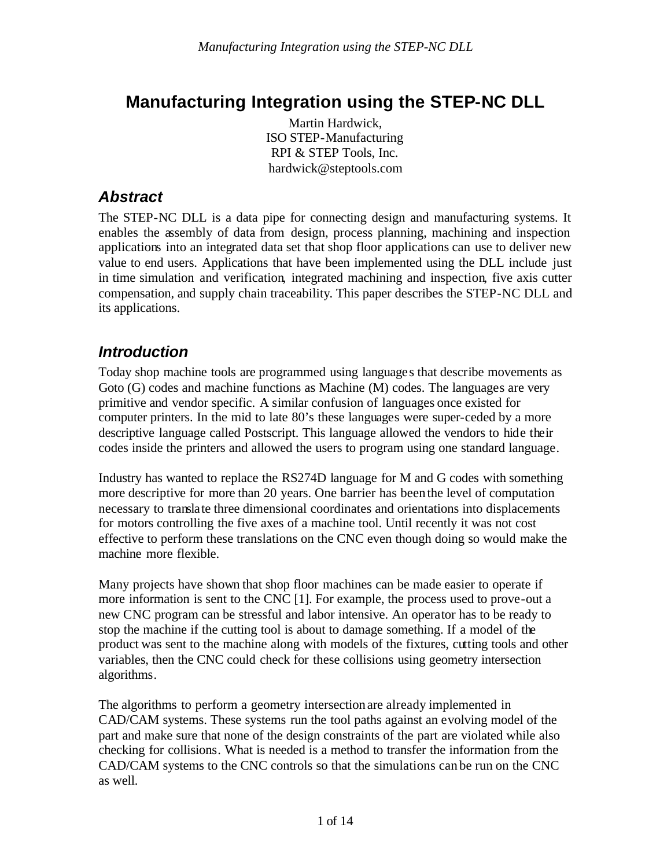# **Manufacturing Integration using the STEP-NC DLL**

Martin Hardwick, ISO STEP-Manufacturing RPI & STEP Tools, Inc. hardwick@steptools.com

## *Abstract*

The STEP-NC DLL is a data pipe for connecting design and manufacturing systems. It enables the assembly of data from design, process planning, machining and inspection applications into an integrated data set that shop floor applications can use to deliver new value to end users. Applications that have been implemented using the DLL include just in time simulation and verification, integrated machining and inspection, five axis cutter compensation, and supply chain traceability. This paper describes the STEP-NC DLL and its applications.

## *Introduction*

Today shop machine tools are programmed using languages that describe movements as Goto (G) codes and machine functions as Machine (M) codes. The languages are very primitive and vendor specific. A similar confusion of languages once existed for computer printers. In the mid to late 80's these languages were super-ceded by a more descriptive language called Postscript. This language allowed the vendors to hide their codes inside the printers and allowed the users to program using one standard language.

Industry has wanted to replace the RS274D language for M and G codes with something more descriptive for more than 20 years. One barrier has been the level of computation necessary to translate three dimensional coordinates and orientations into displacements for motors controlling the five axes of a machine tool. Until recently it was not cost effective to perform these translations on the CNC even though doing so would make the machine more flexible.

Many projects have shown that shop floor machines can be made easier to operate if more information is sent to the CNC [1]. For example, the process used to prove-out a new CNC program can be stressful and labor intensive. An operator has to be ready to stop the machine if the cutting tool is about to damage something. If a model of the product was sent to the machine along with models of the fixtures, cutting tools and other variables, then the CNC could check for these collisions using geometry intersection algorithms.

The algorithms to perform a geometry intersection are already implemented in CAD/CAM systems. These systems run the tool paths against an evolving model of the part and make sure that none of the design constraints of the part are violated while also checking for collisions. What is needed is a method to transfer the information from the CAD/CAM systems to the CNC controls so that the simulations can be run on the CNC as well.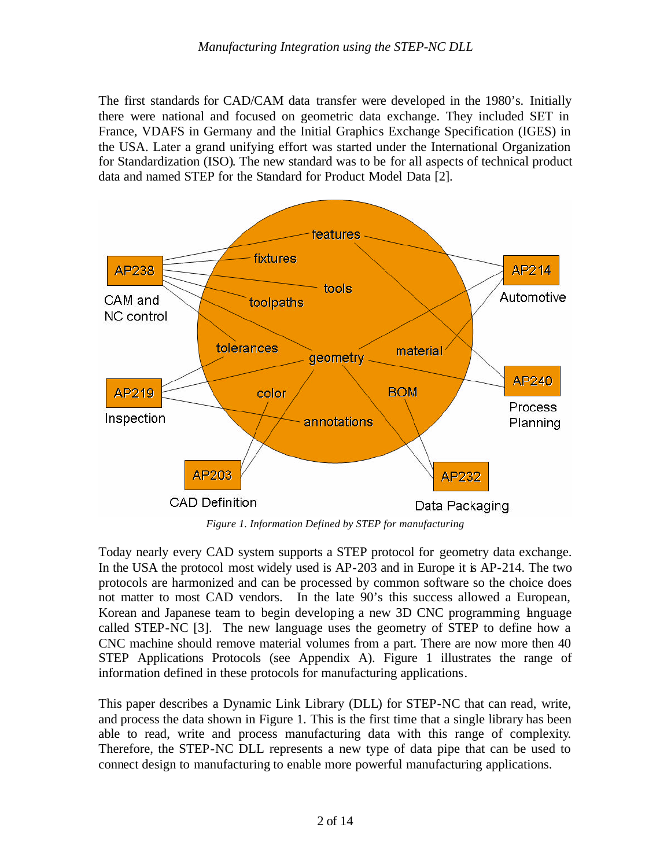The first standards for CAD/CAM data transfer were developed in the 1980's. Initially there were national and focused on geometric data exchange. They included SET in France, VDAFS in Germany and the Initial Graphics Exchange Specification (IGES) in the USA. Later a grand unifying effort was started under the International Organization for Standardization (ISO). The new standard was to be for all aspects of technical product data and named STEP for the Standard for Product Model Data [2].



*Figure 1. Information Defined by STEP for manufacturing*

Today nearly every CAD system supports a STEP protocol for geometry data exchange. In the USA the protocol most widely used is AP-203 and in Europe it is AP-214. The two protocols are harmonized and can be processed by common software so the choice does not matter to most CAD vendors. In the late 90's this success allowed a European, Korean and Japanese team to begin developing a new 3D CNC programming language called STEP-NC [3]. The new language uses the geometry of STEP to define how a CNC machine should remove material volumes from a part. There are now more then 40 STEP Applications Protocols (see Appendix A). Figure 1 illustrates the range of information defined in these protocols for manufacturing applications.

This paper describes a Dynamic Link Library (DLL) for STEP-NC that can read, write, and process the data shown in Figure 1. This is the first time that a single library has been able to read, write and process manufacturing data with this range of complexity. Therefore, the STEP-NC DLL represents a new type of data pipe that can be used to connect design to manufacturing to enable more powerful manufacturing applications.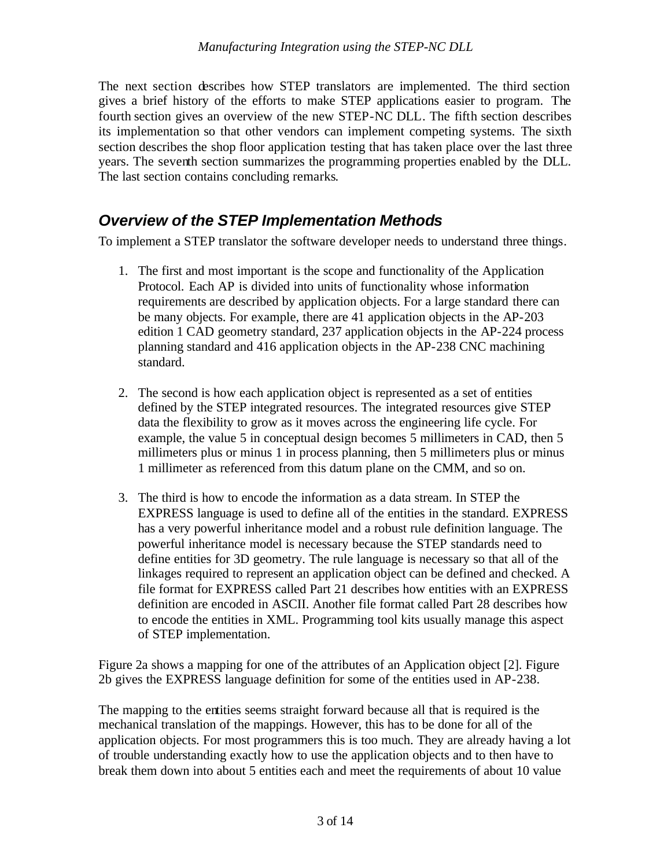The next section describes how STEP translators are implemented. The third section gives a brief history of the efforts to make STEP applications easier to program. The fourth section gives an overview of the new STEP-NC DLL. The fifth section describes its implementation so that other vendors can implement competing systems. The sixth section describes the shop floor application testing that has taken place over the last three years. The seventh section summarizes the programming properties enabled by the DLL. The last section contains concluding remarks.

## *Overview of the STEP Implementation Methods*

To implement a STEP translator the software developer needs to understand three things.

- 1. The first and most important is the scope and functionality of the Application Protocol. Each AP is divided into units of functionality whose information requirements are described by application objects. For a large standard there can be many objects. For example, there are 41 application objects in the AP-203 edition 1 CAD geometry standard, 237 application objects in the AP-224 process planning standard and 416 application objects in the AP-238 CNC machining standard.
- 2. The second is how each application object is represented as a set of entities defined by the STEP integrated resources. The integrated resources give STEP data the flexibility to grow as it moves across the engineering life cycle. For example, the value 5 in conceptual design becomes 5 millimeters in CAD, then 5 millimeters plus or minus 1 in process planning, then 5 millimeters plus or minus 1 millimeter as referenced from this datum plane on the CMM, and so on.
- 3. The third is how to encode the information as a data stream. In STEP the EXPRESS language is used to define all of the entities in the standard. EXPRESS has a very powerful inheritance model and a robust rule definition language. The powerful inheritance model is necessary because the STEP standards need to define entities for 3D geometry. The rule language is necessary so that all of the linkages required to represent an application object can be defined and checked. A file format for EXPRESS called Part 21 describes how entities with an EXPRESS definition are encoded in ASCII. Another file format called Part 28 describes how to encode the entities in XML. Programming tool kits usually manage this aspect of STEP implementation.

Figure 2a shows a mapping for one of the attributes of an Application object [2]. Figure 2b gives the EXPRESS language definition for some of the entities used in AP-238.

The mapping to the entities seems straight forward because all that is required is the mechanical translation of the mappings. However, this has to be done for all of the application objects. For most programmers this is too much. They are already having a lot of trouble understanding exactly how to use the application objects and to then have to break them down into about 5 entities each and meet the requirements of about 10 value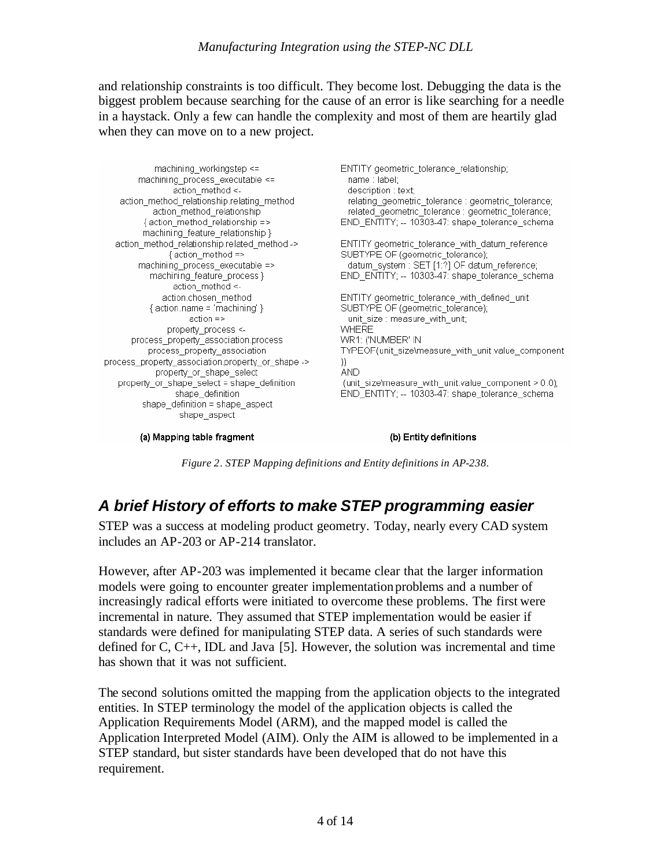and relationship constraints is too difficult. They become lost. Debugging the data is the biggest problem because searching for the cause of an error is like searching for a needle in a haystack. Only a few can handle the complexity and most of them are heartily glad when they can move on to a new project.

ENTITY geometric\_tolerance\_relationship; machining\_workingstep <= machining process executable <= name : label: action method <description : text; action\_method\_relationship.relating\_method relating geometric tolerance : geometric tolerance; action method relationship related geometric tolerance : geometric tolerance; {action\_method\_relationship => END\_ENTITY; -- 10303-47: shape\_tolerance\_schema machining\_feature\_relationship } action method relationship.related method -> ENTITY geometric tolerance with datum reference {action method => SUBTYPE OF (geometric tolerance); datum\_system : SET [1:2] OF datum\_reference; machining\_process\_executable => END\_ENTITY; -- 10303-47: shape\_tolerance\_schema machining\_feature\_process } action method <action.chosen method ENTITY geometric tolerance with defined unit  ${$  action name = 'machining'  $}$ SUBTYPE OF (geometric\_tolerance);  $action =$ unit size : measure with unit; property process <-**WHERE** WR1: ('NUMBER' IN process\_property\_association.process\_ process\_property\_association TYPEOF(unit\_size\measure\_with\_unit.value\_component process property association.property or shape -> D) **AND** property\_or\_shape\_select property\_or\_shape\_select = shape\_definition (unit size\measure with unit.value component  $> 0.0$ ); shape definition END ENTITY: -- 10303-47: shape tolerance schema shape\_definition = shape\_aspect shape\_aspect

(a) Mapping table fragment

(b) Entity definitions

*Figure 2. STEP Mapping definitions and Entity definitions in AP-238.*

### *A brief History of efforts to make STEP programming easier*

STEP was a success at modeling product geometry. Today, nearly every CAD system includes an AP-203 or AP-214 translator.

However, after AP-203 was implemented it became clear that the larger information models were going to encounter greater implementation problems and a number of increasingly radical efforts were initiated to overcome these problems. The first were incremental in nature. They assumed that STEP implementation would be easier if standards were defined for manipulating STEP data. A series of such standards were defined for C, C++, IDL and Java [5]. However, the solution was incremental and time has shown that it was not sufficient.

The second solutions omitted the mapping from the application objects to the integrated entities. In STEP terminology the model of the application objects is called the Application Requirements Model (ARM), and the mapped model is called the Application Interpreted Model (AIM). Only the AIM is allowed to be implemented in a STEP standard, but sister standards have been developed that do not have this requirement.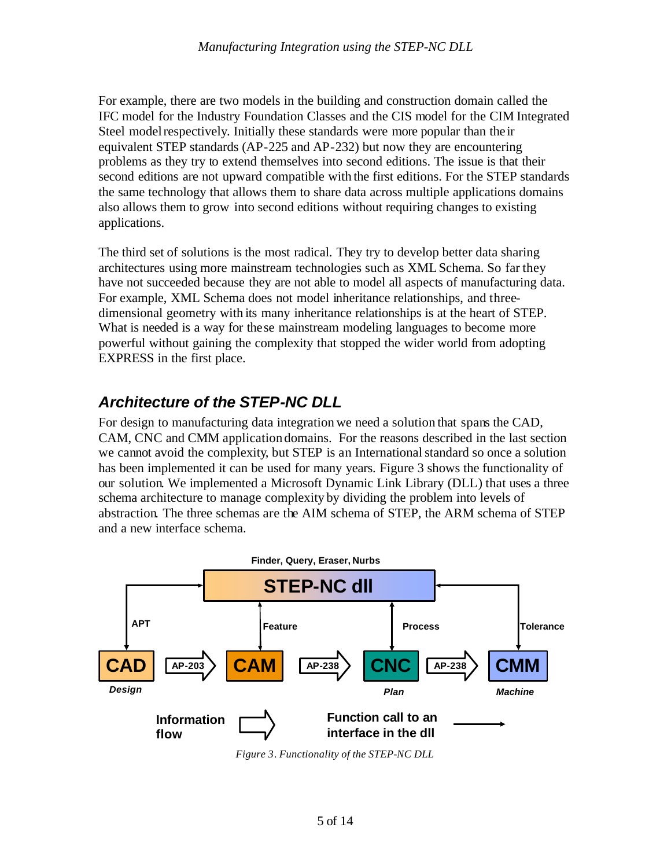For example, there are two models in the building and construction domain called the IFC model for the Industry Foundation Classes and the CIS model for the CIM Integrated Steel model respectively. Initially these standards were more popular than the ir equivalent STEP standards (AP-225 and AP-232) but now they are encountering problems as they try to extend themselves into second editions. The issue is that their second editions are not upward compatible with the first editions. For the STEP standards the same technology that allows them to share data across multiple applications domains also allows them to grow into second editions without requiring changes to existing applications.

The third set of solutions is the most radical. They try to develop better data sharing architectures using more mainstream technologies such as XML Schema. So far they have not succeeded because they are not able to model all aspects of manufacturing data. For example, XML Schema does not model inheritance relationships, and threedimensional geometry with its many inheritance relationships is at the heart of STEP. What is needed is a way for these mainstream modeling languages to become more powerful without gaining the complexity that stopped the wider world from adopting EXPRESS in the first place.

## *Architecture of the STEP-NC DLL*

For design to manufacturing data integration we need a solution that spans the CAD, CAM, CNC and CMM application domains. For the reasons described in the last section we cannot avoid the complexity, but STEP is an International standard so once a solution has been implemented it can be used for many years. Figure 3 shows the functionality of our solution. We implemented a Microsoft Dynamic Link Library (DLL) that uses a three schema architecture to manage complexity by dividing the problem into levels of abstraction. The three schemas are the AIM schema of STEP, the ARM schema of STEP and a new interface schema.



*Figure 3. Functionality of the STEP-NC DLL*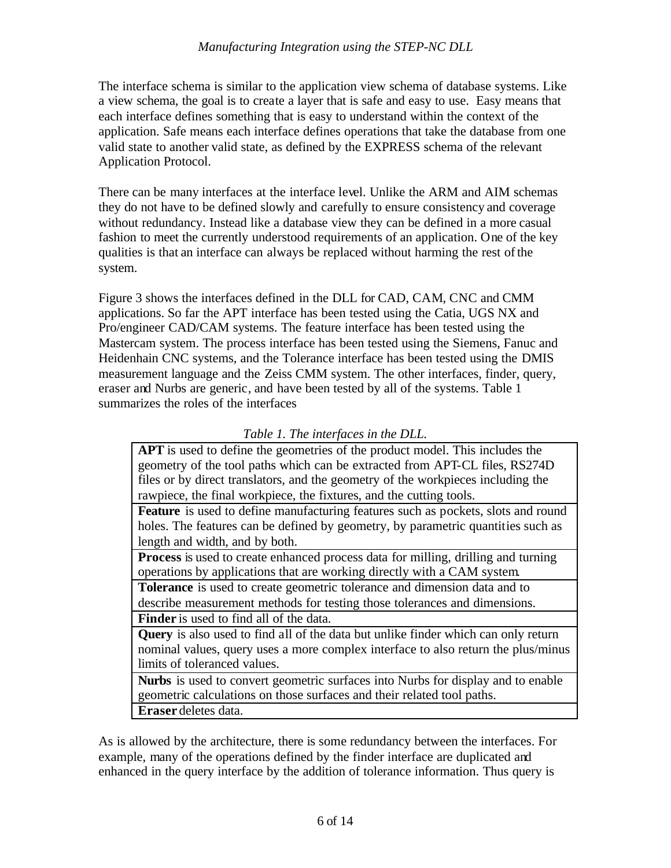#### *Manufacturing Integration using the STEP-NC DLL*

The interface schema is similar to the application view schema of database systems. Like a view schema, the goal is to create a layer that is safe and easy to use. Easy means that each interface defines something that is easy to understand within the context of the application. Safe means each interface defines operations that take the database from one valid state to another valid state, as defined by the EXPRESS schema of the relevant Application Protocol.

There can be many interfaces at the interface level. Unlike the ARM and AIM schemas they do not have to be defined slowly and carefully to ensure consistency and coverage without redundancy. Instead like a database view they can be defined in a more casual fashion to meet the currently understood requirements of an application. One of the key qualities is that an interface can always be replaced without harming the rest of the system.

Figure 3 shows the interfaces defined in the DLL for CAD, CAM, CNC and CMM applications. So far the APT interface has been tested using the Catia, UGS NX and Pro/engineer CAD/CAM systems. The feature interface has been tested using the Mastercam system. The process interface has been tested using the Siemens, Fanuc and Heidenhain CNC systems, and the Tolerance interface has been tested using the DMIS measurement language and the Zeiss CMM system. The other interfaces, finder, query, eraser and Nurbs are generic, and have been tested by all of the systems. Table 1 summarizes the roles of the interfaces

**APT** is used to define the geometries of the product model. This includes the geometry of the tool paths which can be extracted from APT-CL files, RS274D files or by direct translators, and the geometry of the workpieces including the rawpiece, the final workpiece, the fixtures, and the cutting tools.

**Feature** is used to define manufacturing features such as pockets, slots and round holes. The features can be defined by geometry, by parametric quantities such as length and width, and by both.

**Process** is used to create enhanced process data for milling, drilling and turning operations by applications that are working directly with a CAM system.

**Tolerance** is used to create geometric tolerance and dimension data and to describe measurement methods for testing those tolerances and dimensions.

**Finder** is used to find all of the data.

**Query** is also used to find all of the data but unlike finder which can only return nominal values, query uses a more complex interface to also return the plus/minus limits of toleranced values.

**Nurbs** is used to convert geometric surfaces into Nurbs for display and to enable geometric calculations on those surfaces and their related tool paths. **Eraser** deletes data.

As is allowed by the architecture, there is some redundancy between the interfaces. For example, many of the operations defined by the finder interface are duplicated and enhanced in the query interface by the addition of tolerance information. Thus query is

*Table 1. The interfaces in the DLL.*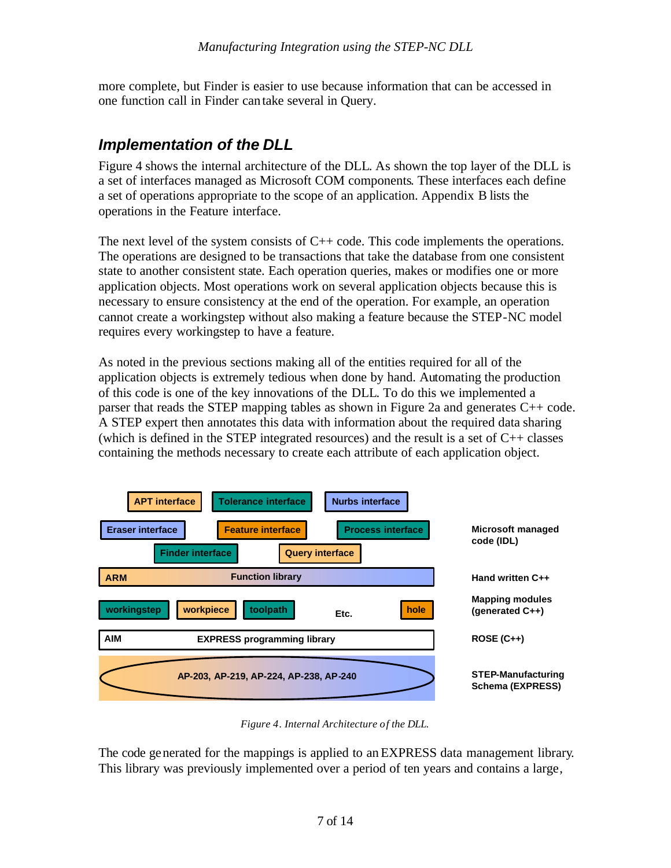more complete, but Finder is easier to use because information that can be accessed in one function call in Finder can take several in Query.

#### *Implementation of the DLL*

Figure 4 shows the internal architecture of the DLL. As shown the top layer of the DLL is a set of interfaces managed as Microsoft COM components. These interfaces each define a set of operations appropriate to the scope of an application. Appendix B lists the operations in the Feature interface.

The next level of the system consists of  $C++$  code. This code implements the operations. The operations are designed to be transactions that take the database from one consistent state to another consistent state. Each operation queries, makes or modifies one or more application objects. Most operations work on several application objects because this is necessary to ensure consistency at the end of the operation. For example, an operation cannot create a workingstep without also making a feature because the STEP-NC model requires every workingstep to have a feature.

As noted in the previous sections making all of the entities required for all of the application objects is extremely tedious when done by hand. Automating the production of this code is one of the key innovations of the DLL. To do this we implemented a parser that reads the STEP mapping tables as shown in Figure 2a and generates C++ code. A STEP expert then annotates this data with information about the required data sharing (which is defined in the STEP integrated resources) and the result is a set of  $C_{++}$  classes containing the methods necessary to create each attribute of each application object.



*Figure 4. Internal Architecture of the DLL.*

The code generated for the mappings is applied to an EXPRESS data management library. This library was previously implemented over a period of ten years and contains a large,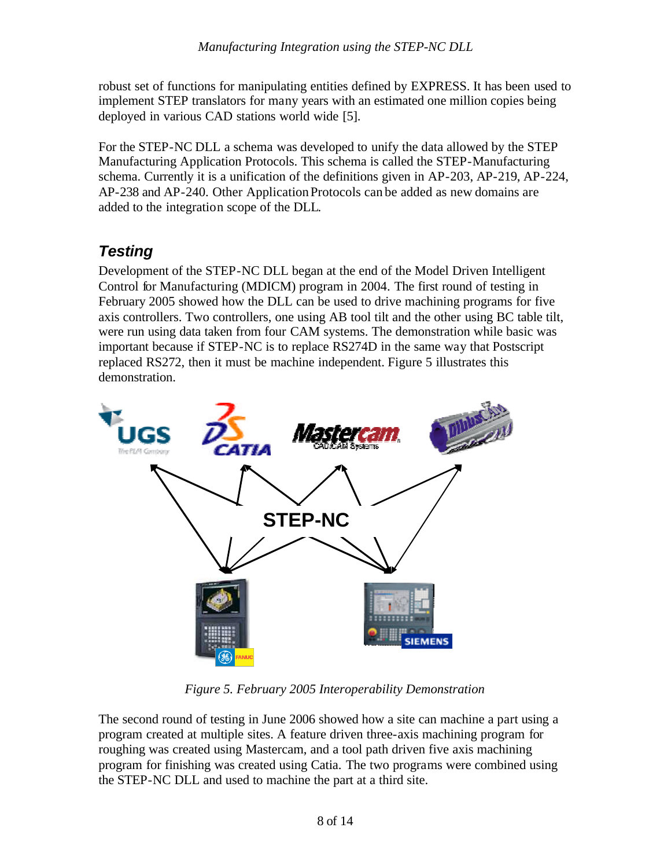robust set of functions for manipulating entities defined by EXPRESS. It has been used to implement STEP translators for many years with an estimated one million copies being deployed in various CAD stations world wide [5].

For the STEP-NC DLL a schema was developed to unify the data allowed by the STEP Manufacturing Application Protocols. This schema is called the STEP-Manufacturing schema. Currently it is a unification of the definitions given in AP-203, AP-219, AP-224, AP-238 and AP-240. Other Application Protocols can be added as new domains are added to the integration scope of the DLL.

# *Testing*

Development of the STEP-NC DLL began at the end of the Model Driven Intelligent Control for Manufacturing (MDICM) program in 2004. The first round of testing in February 2005 showed how the DLL can be used to drive machining programs for five axis controllers. Two controllers, one using AB tool tilt and the other using BC table tilt, were run using data taken from four CAM systems. The demonstration while basic was important because if STEP-NC is to replace RS274D in the same way that Postscript replaced RS272, then it must be machine independent. Figure 5 illustrates this demonstration.



*Figure 5. February 2005 Interoperability Demonstration*

The second round of testing in June 2006 showed how a site can machine a part using a program created at multiple sites. A feature driven three-axis machining program for roughing was created using Mastercam, and a tool path driven five axis machining program for finishing was created using Catia. The two programs were combined using the STEP-NC DLL and used to machine the part at a third site.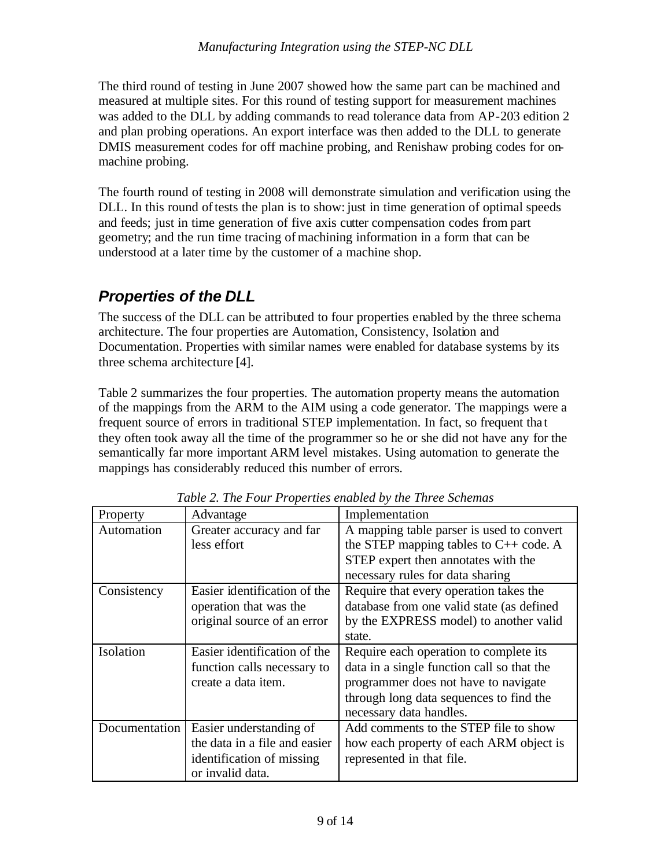The third round of testing in June 2007 showed how the same part can be machined and measured at multiple sites. For this round of testing support for measurement machines was added to the DLL by adding commands to read tolerance data from AP-203 edition 2 and plan probing operations. An export interface was then added to the DLL to generate DMIS measurement codes for off machine probing, and Renishaw probing codes for onmachine probing.

The fourth round of testing in 2008 will demonstrate simulation and verification using the DLL. In this round of tests the plan is to show: just in time generation of optimal speeds and feeds; just in time generation of five axis cutter compensation codes from part geometry; and the run time tracing of machining information in a form that can be understood at a later time by the customer of a machine shop.

## *Properties of the DLL*

The success of the DLL can be attributed to four properties enabled by the three schema architecture. The four properties are Automation, Consistency, Isolation and Documentation. Properties with similar names were enabled for database systems by its three schema architecture [4].

Table 2 summarizes the four properties. The automation property means the automation of the mappings from the ARM to the AIM using a code generator. The mappings were a frequent source of errors in traditional STEP implementation. In fact, so frequent tha t they often took away all the time of the programmer so he or she did not have any for the semantically far more important ARM level mistakes. Using automation to generate the mappings has considerably reduced this number of errors.

| Property      | Advantage                     | Implementation                             |
|---------------|-------------------------------|--------------------------------------------|
| Automation    | Greater accuracy and far      | A mapping table parser is used to convert  |
|               | less effort                   | the STEP mapping tables to $C++$ code. A   |
|               |                               | STEP expert then annotates with the        |
|               |                               | necessary rules for data sharing           |
| Consistency   | Easier identification of the  | Require that every operation takes the     |
|               | operation that was the        | database from one valid state (as defined  |
|               | original source of an error   | by the EXPRESS model) to another valid     |
|               |                               | state.                                     |
| Isolation     | Easier identification of the  | Require each operation to complete its     |
|               | function calls necessary to   | data in a single function call so that the |
|               | create a data item.           | programmer does not have to navigate       |
|               |                               | through long data sequences to find the    |
|               |                               | necessary data handles.                    |
| Documentation | Easier understanding of       | Add comments to the STEP file to show      |
|               | the data in a file and easier | how each property of each ARM object is    |
|               | identification of missing     | represented in that file.                  |
|               | or invalid data.              |                                            |

*Table 2. The Four Properties enabled by the Three Schemas*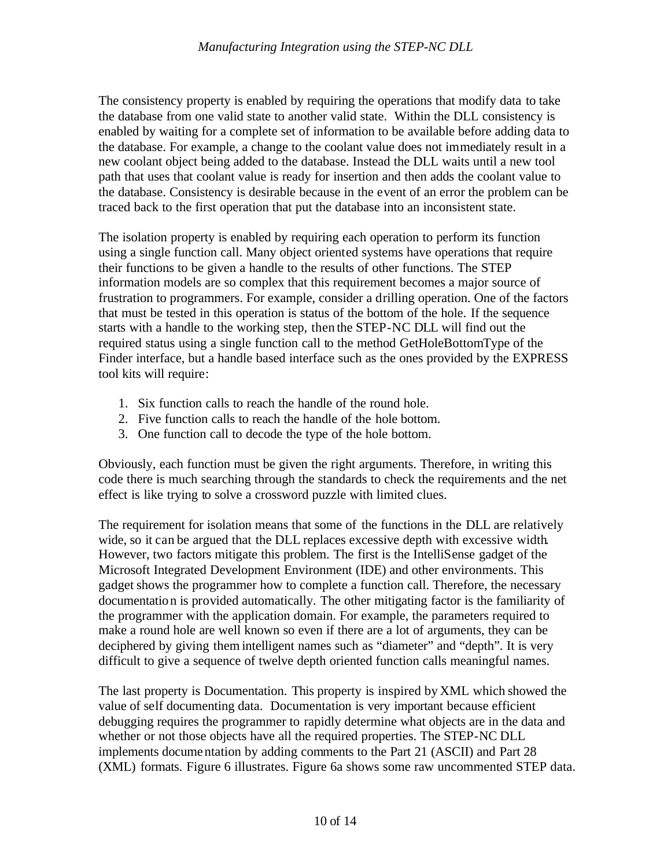The consistency property is enabled by requiring the operations that modify data to take the database from one valid state to another valid state. Within the DLL consistency is enabled by waiting for a complete set of information to be available before adding data to the database. For example, a change to the coolant value does not immediately result in a new coolant object being added to the database. Instead the DLL waits until a new tool path that uses that coolant value is ready for insertion and then adds the coolant value to the database. Consistency is desirable because in the event of an error the problem can be traced back to the first operation that put the database into an inconsistent state.

The isolation property is enabled by requiring each operation to perform its function using a single function call. Many object oriented systems have operations that require their functions to be given a handle to the results of other functions. The STEP information models are so complex that this requirement becomes a major source of frustration to programmers. For example, consider a drilling operation. One of the factors that must be tested in this operation is status of the bottom of the hole. If the sequence starts with a handle to the working step, then the STEP-NC DLL will find out the required status using a single function call to the method GetHoleBottomType of the Finder interface, but a handle based interface such as the ones provided by the EXPRESS tool kits will require:

- 1. Six function calls to reach the handle of the round hole.
- 2. Five function calls to reach the handle of the hole bottom.
- 3. One function call to decode the type of the hole bottom.

Obviously, each function must be given the right arguments. Therefore, in writing this code there is much searching through the standards to check the requirements and the net effect is like trying to solve a crossword puzzle with limited clues.

The requirement for isolation means that some of the functions in the DLL are relatively wide, so it can be argued that the DLL replaces excessive depth with excessive width. However, two factors mitigate this problem. The first is the IntelliSense gadget of the Microsoft Integrated Development Environment (IDE) and other environments. This gadget shows the programmer how to complete a function call. Therefore, the necessary documentation is provided automatically. The other mitigating factor is the familiarity of the programmer with the application domain. For example, the parameters required to make a round hole are well known so even if there are a lot of arguments, they can be deciphered by giving them intelligent names such as "diameter" and "depth". It is very difficult to give a sequence of twelve depth oriented function calls meaningful names.

The last property is Documentation. This property is inspired by XML which showed the value of self documenting data. Documentation is very important because efficient debugging requires the programmer to rapidly determine what objects are in the data and whether or not those objects have all the required properties. The STEP-NC DLL implements documentation by adding comments to the Part 21 (ASCII) and Part 28 (XML) formats. Figure 6 illustrates. Figure 6a shows some raw uncommented STEP data.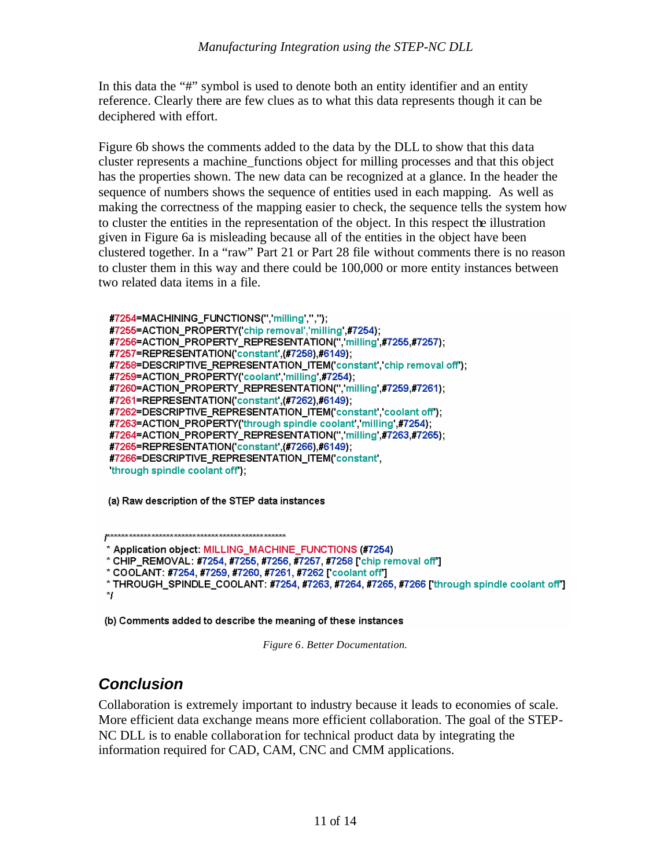In this data the "#" symbol is used to denote both an entity identifier and an entity reference. Clearly there are few clues as to what this data represents though it can be deciphered with effort.

Figure 6b shows the comments added to the data by the DLL to show that this data cluster represents a machine\_functions object for milling processes and that this object has the properties shown. The new data can be recognized at a glance. In the header the sequence of numbers shows the sequence of entities used in each mapping. As well as making the correctness of the mapping easier to check, the sequence tells the system how to cluster the entities in the representation of the object. In this respect the illustration given in Figure 6a is misleading because all of the entities in the object have been clustered together. In a "raw" Part 21 or Part 28 file without comments there is no reason to cluster them in this way and there could be 100,000 or more entity instances between two related data items in a file.

#7254=MACHINING\_FUNCTIONS(", milling',","); #7255=ACTION\_PROPERTY('chip removal','milling',#7254); #7256=ACTION\_PROPERTY\_REPRESENTATION(",'milling',#7255,#7257); #7257=REPRESENTATION('constant',(#7258),#6149); #7258=DESCRIPTIVE\_REPRESENTATION\_ITEM('constant', chip removal off'); #7259=ACTION\_PROPERTY('coolant, milling,#7254); #7260=ACTION\_PROPERTY\_REPRESENTATION(",'milling',#7259,#7261); #7261=REPRESENTATION('constant',(#7262),#6149); #7262=DESCRIPTIVE\_REPRESENTATION\_ITEM('constant', coolant off'); #7263=ACTION\_PROPERTY('through spindle coolant', milling ,#7254); #7264=ACTION\_PROPERTY\_REPRESENTATION(",'milling',#7263,#7265); #7265=REPRESENTATION('constant',(#7266),#6149); #7266=DESCRIPTIVE\_REPRESENTATION\_ITEM('constant, through spindle coolant off);

(a) Raw description of the STEP data instances

\* Application object: MILLING\_MACHINE\_FUNCTIONS (#7254)

\* CHIP\_REMOVAL: #7254, #7255, #7256, #7257, #7258 [ chip removal off ]

\* COOLANT: #7254, #7259, #7260, #7261, #7262 ['coolant off']

\* THROUGH\_SPINDLE\_COOLANT: #7254, #7263, #7264, #7265, #7266 ['through spindle coolant off']  $\ddot{ }$ 

(b) Comments added to describe the meaning of these instances

*Figure 6. Better Documentation.*

## *Conclusion*

Collaboration is extremely important to industry because it leads to economies of scale. More efficient data exchange means more efficient collaboration. The goal of the STEP-NC DLL is to enable collaboration for technical product data by integrating the information required for CAD, CAM, CNC and CMM applications.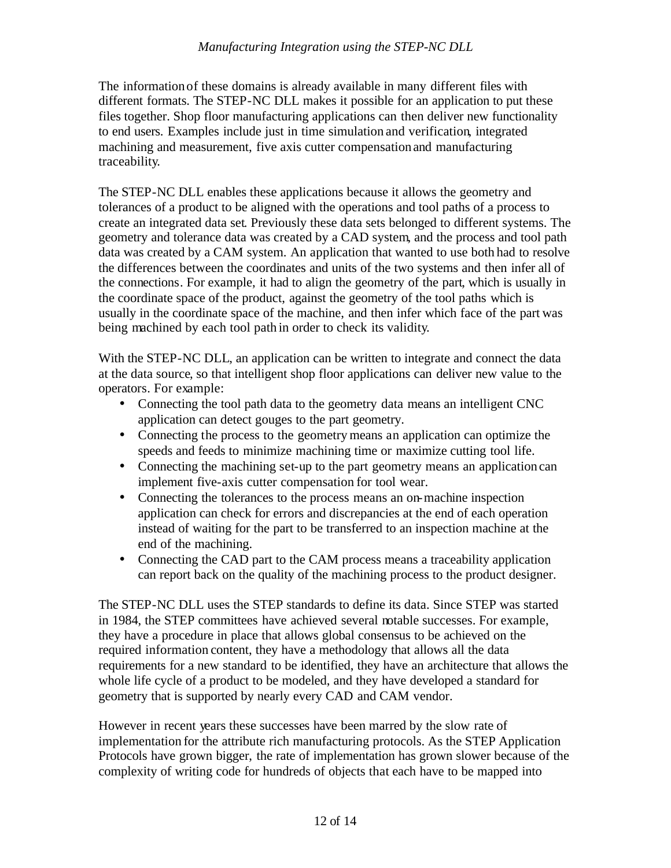#### *Manufacturing Integration using the STEP-NC DLL*

The information of these domains is already available in many different files with different formats. The STEP-NC DLL makes it possible for an application to put these files together. Shop floor manufacturing applications can then deliver new functionality to end users. Examples include just in time simulation and verification, integrated machining and measurement, five axis cutter compensation and manufacturing traceability.

The STEP-NC DLL enables these applications because it allows the geometry and tolerances of a product to be aligned with the operations and tool paths of a process to create an integrated data set. Previously these data sets belonged to different systems. The geometry and tolerance data was created by a CAD system, and the process and tool path data was created by a CAM system. An application that wanted to use both had to resolve the differences between the coordinates and units of the two systems and then infer all of the connections. For example, it had to align the geometry of the part, which is usually in the coordinate space of the product, against the geometry of the tool paths which is usually in the coordinate space of the machine, and then infer which face of the part was being machined by each tool path in order to check its validity.

With the STEP-NC DLL, an application can be written to integrate and connect the data at the data source, so that intelligent shop floor applications can deliver new value to the operators. For example:

- Connecting the tool path data to the geometry data means an intelligent CNC application can detect gouges to the part geometry.
- Connecting the process to the geometry means an application can optimize the speeds and feeds to minimize machining time or maximize cutting tool life.
- Connecting the machining set-up to the part geometry means an application can implement five-axis cutter compensation for tool wear.
- Connecting the tolerances to the process means an on-machine inspection application can check for errors and discrepancies at the end of each operation instead of waiting for the part to be transferred to an inspection machine at the end of the machining.
- Connecting the CAD part to the CAM process means a traceability application can report back on the quality of the machining process to the product designer.

The STEP-NC DLL uses the STEP standards to define its data. Since STEP was started in 1984, the STEP committees have achieved several notable successes. For example, they have a procedure in place that allows global consensus to be achieved on the required information content, they have a methodology that allows all the data requirements for a new standard to be identified, they have an architecture that allows the whole life cycle of a product to be modeled, and they have developed a standard for geometry that is supported by nearly every CAD and CAM vendor.

However in recent years these successes have been marred by the slow rate of implementation for the attribute rich manufacturing protocols. As the STEP Application Protocols have grown bigger, the rate of implementation has grown slower because of the complexity of writing code for hundreds of objects that each have to be mapped into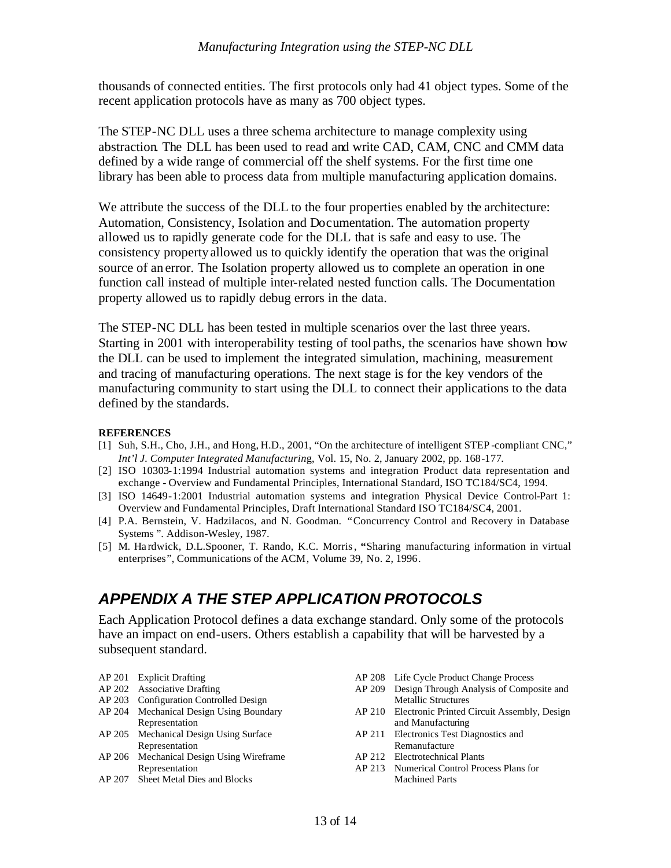thousands of connected entities. The first protocols only had 41 object types. Some of the recent application protocols have as many as 700 object types.

The STEP-NC DLL uses a three schema architecture to manage complexity using abstraction. The DLL has been used to read and write CAD, CAM, CNC and CMM data defined by a wide range of commercial off the shelf systems. For the first time one library has been able to process data from multiple manufacturing application domains.

We attribute the success of the DLL to the four properties enabled by the architecture: Automation, Consistency, Isolation and Documentation. The automation property allowed us to rapidly generate code for the DLL that is safe and easy to use. The consistency property allowed us to quickly identify the operation that was the original source of an error. The Isolation property allowed us to complete an operation in one function call instead of multiple inter-related nested function calls. The Documentation property allowed us to rapidly debug errors in the data.

The STEP-NC DLL has been tested in multiple scenarios over the last three years. Starting in 2001 with interoperability testing of toolpaths, the scenarios have shown how the DLL can be used to implement the integrated simulation, machining, measurement and tracing of manufacturing operations. The next stage is for the key vendors of the manufacturing community to start using the DLL to connect their applications to the data defined by the standards.

#### **REFERENCES**

- [1] Suh, S.H., Cho, J.H., and Hong, H.D., 2001, "On the architecture of intelligent STEP -compliant CNC," *Int'l J. Computer Integrated Manufacturin*g, Vol. 15, No. 2, January 2002, pp. 168-177.
- [2] ISO 10303-1:1994 Industrial automation systems and integration Product data representation and exchange - Overview and Fundamental Principles, International Standard, ISO TC184/SC4, 1994.
- [3] ISO 14649-1:2001 Industrial automation systems and integration Physical Device Control-Part 1: Overview and Fundamental Principles, Draft International Standard ISO TC184/SC4, 2001.
- [4] P.A. Bernstein, V. Hadzilacos, and N. Goodman. "Concurrency Control and Recovery in Database Systems *"*. Addison-Wesley, 1987.
- [5] M. Ha rdwick, D.L.Spooner, T. Rando, K.C. Morris, **"**Sharing manufacturing information in virtual enterprises", Communications of the ACM, Volume 39, No. 2, 1996.

## *APPENDIX A THE STEP APPLICATION PROTOCOLS*

Each Application Protocol defines a data exchange standard. Only some of the protocols have an impact on end-users. Others establish a capability that will be harvested by a subsequent standard.

- AP 201 Explicit Drafting
- AP 202 Associative Drafting
- AP 203 Configuration Controlled Design
- AP 204 Mechanical Design Using Boundary Representation
- AP 205 Mechanical Design Using Surface Representation
- AP 206 Mechanical Design Using Wireframe Representation
- AP 207 Sheet Metal Dies and Blocks
- AP 208 Life Cycle Product Change Process
- AP 209 Design Through Analysis of Composite and Metallic Structures
- AP 210 Electronic Printed Circuit Assembly, Design and Manufacturing
- AP 211 Electronics Test Diagnostics and Remanufacture
- AP 212 Electrotechnical Plants
- AP 213 Numerical Control Process Plans for Machined Parts